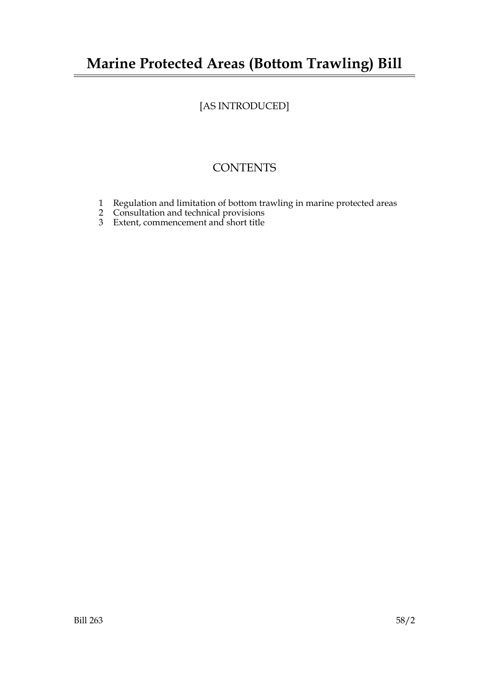# **Marine Protected Areas (Bottom Trawling) Bill**

# [AS INTRODUCED]

## **CONTENTS**

- 1 Regulation and limitation of bottom trawling in marine protected areas
- 2 Consultation and technical provisions
- 3 Extent, commencement and short title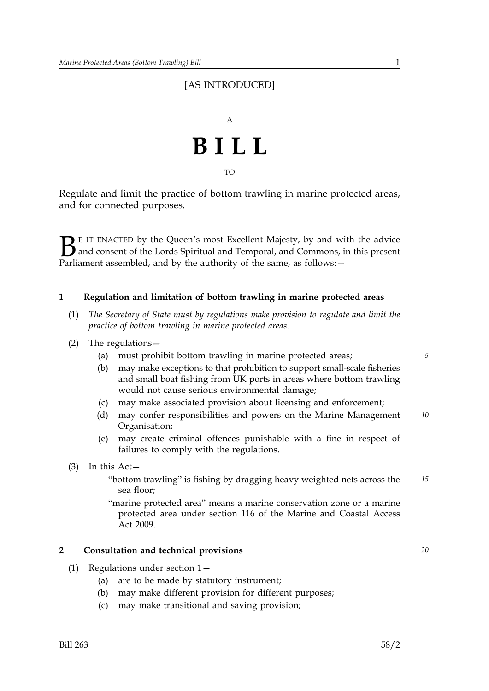### [AS INTRODUCED]



Regulate and limit the practice of bottom trawling in marine protected areas, and for connected purposes.

 $\sum$  E IT ENACTED by the Queen's most Excellent Majesty, by and with the advice<br>and consent of the Lords Spiritual and Temporal, and Commons, in this present<br>Parliament assembled, and by the authority of the same as follo and consent of the Lords Spiritual and Temporal, and Commons, in this present Parliament assembled, and by the authority of the same, as follows: -

#### **1 Regulation and limitation of bottom trawling in marine protected areas**

- (1) *The Secretary of State must by regulations make provision to regulate and limit the practice of bottom trawling in marine protected areas*.
- (2) The regulations—
	- (a) must prohibit bottom trawling in marine protected areas; *5*
	- (b) may make exceptions to that prohibition to support small-scale fisheries and small boat fishing from UK ports in areas where bottom trawling would not cause serious environmental damage;
	- (c) may make associated provision about licensing and enforcement;
	- (d) may confer responsibilities and powers on the Marine Management *10* Organisation;
	- (e) may create criminal offences punishable with a fine in respect of failures to comply with the regulations.
- (3) In this Act—
	- "bottom trawling" is fishing by dragging heavy weighted nets across the *15* sea floor;
	- "marine protected area" means a marine conservation zone or a marine protected area under section 116 of the Marine and Coastal Access Act 2009.

#### **2 Consultation and technical provisions** *20*

- (1) Regulations under section 1—
	- (a) are to be made by statutory instrument;
	- (b) may make different provision for different purposes;
	- (c) may make transitional and saving provision;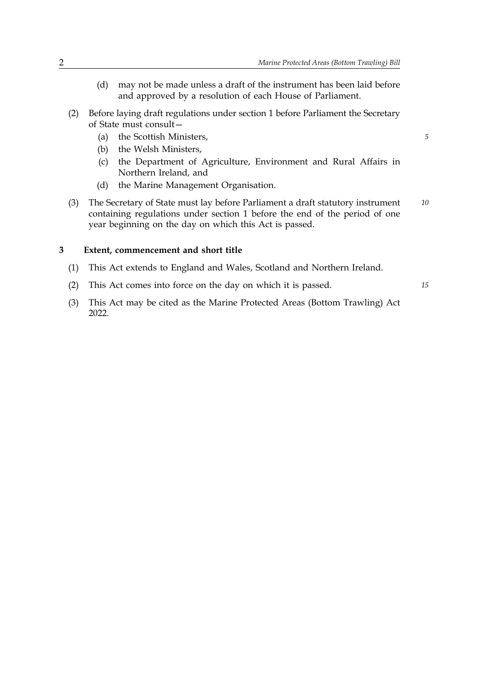- (d) may not be made unless a draft of the instrument has been laid before and approved by a resolution of each House of Parliament.
- (2) Before laying draft regulations under section 1 before Parliament the Secretary of State must consult—
	- (a) the Scottish Ministers, *5*
	- (b) the Welsh Ministers,
	- (c) the Department of Agriculture, Environment and Rural Affairs in Northern Ireland, and
	- (d) the Marine Management Organisation.
- (3) The Secretary of State must lay before Parliament a draft statutory instrument *10* containing regulations under section 1 before the end of the period of one year beginning on the day on which this Act is passed.

#### **3 Extent, commencement and short title**

- (1) This Act extends to England and Wales, Scotland and Northern Ireland.
- (2) This Act comes into force on the day on which it is passed. *15*
	-
- (3) This Act may be cited as the Marine Protected Areas (Bottom Trawling) Act 2022.